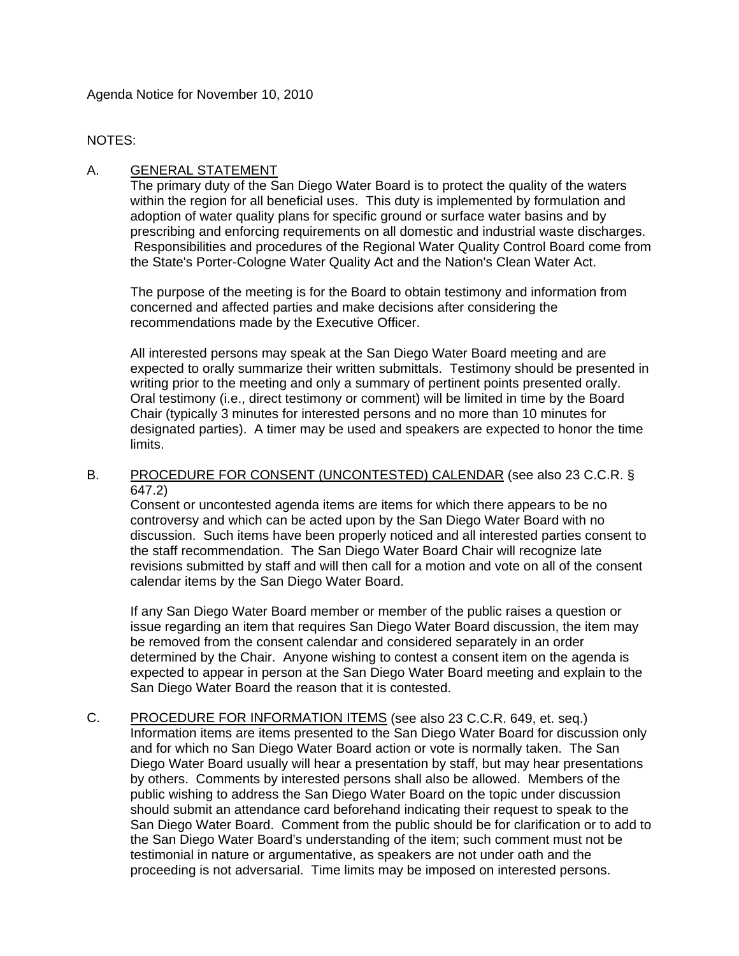Agenda Notice for November 10, 2010

#### NOTES:

## A. GENERAL STATEMENT

The primary duty of the San Diego Water Board is to protect the quality of the waters within the region for all beneficial uses. This duty is implemented by formulation and adoption of water quality plans for specific ground or surface water basins and by prescribing and enforcing requirements on all domestic and industrial waste discharges. Responsibilities and procedures of the Regional Water Quality Control Board come from the State's Porter-Cologne Water Quality Act and the Nation's Clean Water Act.

The purpose of the meeting is for the Board to obtain testimony and information from concerned and affected parties and make decisions after considering the recommendations made by the Executive Officer.

All interested persons may speak at the San Diego Water Board meeting and are expected to orally summarize their written submittals. Testimony should be presented in writing prior to the meeting and only a summary of pertinent points presented orally. Oral testimony (i.e., direct testimony or comment) will be limited in time by the Board Chair (typically 3 minutes for interested persons and no more than 10 minutes for designated parties). A timer may be used and speakers are expected to honor the time limits.

#### B. PROCEDURE FOR CONSENT (UNCONTESTED) CALENDAR (see also 23 C.C.R. § 647.2)

Consent or uncontested agenda items are items for which there appears to be no controversy and which can be acted upon by the San Diego Water Board with no discussion. Such items have been properly noticed and all interested parties consent to the staff recommendation. The San Diego Water Board Chair will recognize late revisions submitted by staff and will then call for a motion and vote on all of the consent calendar items by the San Diego Water Board.

If any San Diego Water Board member or member of the public raises a question or issue regarding an item that requires San Diego Water Board discussion, the item may be removed from the consent calendar and considered separately in an order determined by the Chair. Anyone wishing to contest a consent item on the agenda is expected to appear in person at the San Diego Water Board meeting and explain to the San Diego Water Board the reason that it is contested.

C. PROCEDURE FOR INFORMATION ITEMS (see also 23 C.C.R. 649, et. seq.) Information items are items presented to the San Diego Water Board for discussion only and for which no San Diego Water Board action or vote is normally taken. The San Diego Water Board usually will hear a presentation by staff, but may hear presentations by others. Comments by interested persons shall also be allowed. Members of the public wishing to address the San Diego Water Board on the topic under discussion should submit an attendance card beforehand indicating their request to speak to the San Diego Water Board. Comment from the public should be for clarification or to add to the San Diego Water Board's understanding of the item; such comment must not be testimonial in nature or argumentative, as speakers are not under oath and the proceeding is not adversarial. Time limits may be imposed on interested persons.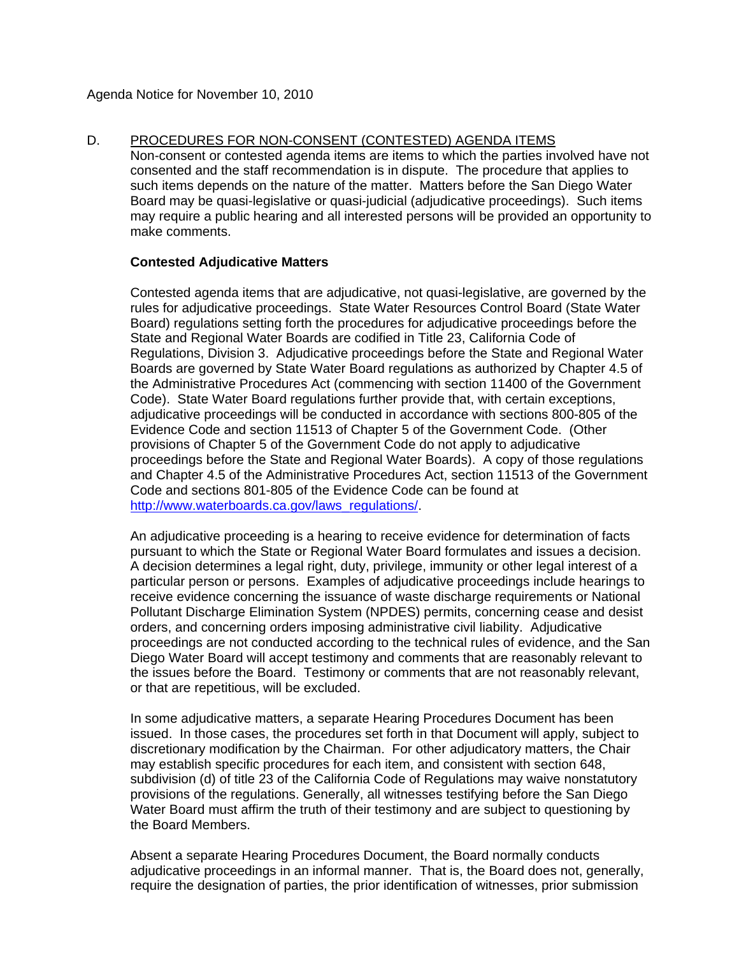D. PROCEDURES FOR NON-CONSENT (CONTESTED) AGENDA ITEMS Non-consent or contested agenda items are items to which the parties involved have not consented and the staff recommendation is in dispute. The procedure that applies to such items depends on the nature of the matter. Matters before the San Diego Water Board may be quasi-legislative or quasi-judicial (adjudicative proceedings). Such items may require a public hearing and all interested persons will be provided an opportunity to make comments.

## **Contested Adjudicative Matters**

Contested agenda items that are adjudicative, not quasi-legislative, are governed by the rules for adjudicative proceedings. State Water Resources Control Board (State Water Board) regulations setting forth the procedures for adjudicative proceedings before the State and Regional Water Boards are codified in Title 23, California Code of Regulations, Division 3. Adjudicative proceedings before the State and Regional Water Boards are governed by State Water Board regulations as authorized by Chapter 4.5 of the Administrative Procedures Act (commencing with section 11400 of the Government Code). State Water Board regulations further provide that, with certain exceptions, adjudicative proceedings will be conducted in accordance with sections 800-805 of the Evidence Code and section 11513 of Chapter 5 of the Government Code. (Other provisions of Chapter 5 of the Government Code do not apply to adjudicative proceedings before the State and Regional Water Boards). A copy of those regulations and Chapter 4.5 of the Administrative Procedures Act, section 11513 of the Government Code and sections 801-805 of the Evidence Code can be found at [http://www.waterboards.ca.gov/laws\\_regulations/](http://www.waterboards.ca.gov/laws_regulations/).

An adjudicative proceeding is a hearing to receive evidence for determination of facts pursuant to which the State or Regional Water Board formulates and issues a decision. A decision determines a legal right, duty, privilege, immunity or other legal interest of a particular person or persons. Examples of adjudicative proceedings include hearings to receive evidence concerning the issuance of waste discharge requirements or National Pollutant Discharge Elimination System (NPDES) permits, concerning cease and desist orders, and concerning orders imposing administrative civil liability. Adjudicative proceedings are not conducted according to the technical rules of evidence, and the San Diego Water Board will accept testimony and comments that are reasonably relevant to the issues before the Board. Testimony or comments that are not reasonably relevant, or that are repetitious, will be excluded.

In some adjudicative matters, a separate Hearing Procedures Document has been issued. In those cases, the procedures set forth in that Document will apply, subject to discretionary modification by the Chairman. For other adjudicatory matters, the Chair may establish specific procedures for each item, and consistent with section 648, subdivision (d) of title 23 of the California Code of Regulations may waive nonstatutory provisions of the regulations. Generally, all witnesses testifying before the San Diego Water Board must affirm the truth of their testimony and are subject to questioning by the Board Members.

Absent a separate Hearing Procedures Document, the Board normally conducts adjudicative proceedings in an informal manner. That is, the Board does not, generally, require the designation of parties, the prior identification of witnesses, prior submission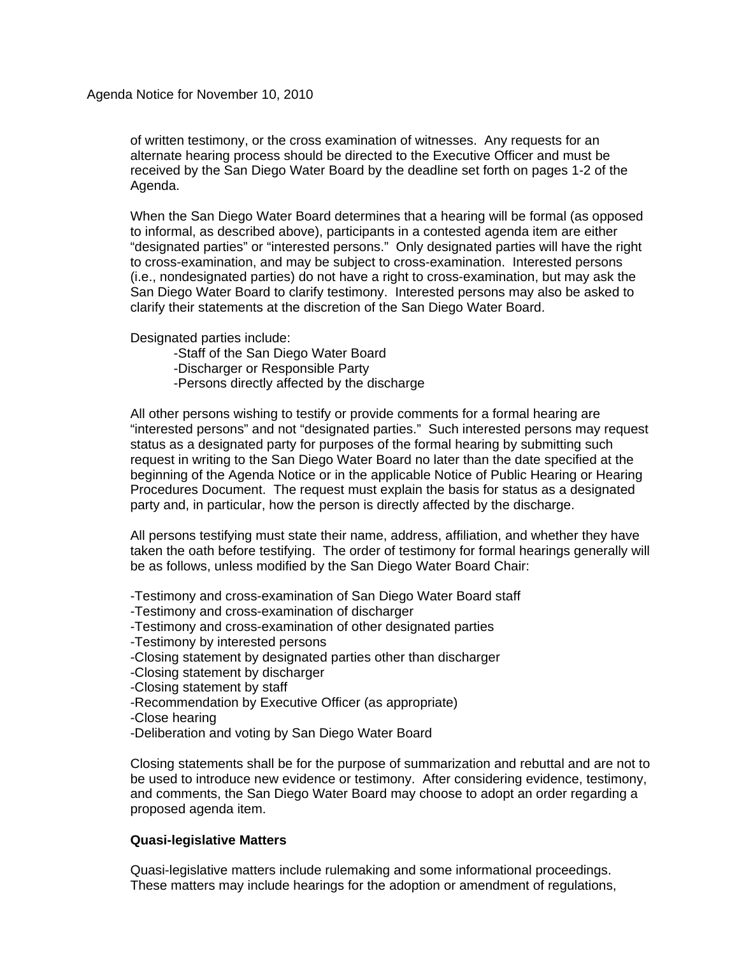of written testimony, or the cross examination of witnesses. Any requests for an alternate hearing process should be directed to the Executive Officer and must be received by the San Diego Water Board by the deadline set forth on pages 1-2 of the Agenda.

When the San Diego Water Board determines that a hearing will be formal (as opposed to informal, as described above), participants in a contested agenda item are either "designated parties" or "interested persons." Only designated parties will have the right to cross-examination, and may be subject to cross-examination. Interested persons (i.e., nondesignated parties) do not have a right to cross-examination, but may ask the San Diego Water Board to clarify testimony. Interested persons may also be asked to clarify their statements at the discretion of the San Diego Water Board.

Designated parties include:

-Staff of the San Diego Water Board

-Discharger or Responsible Party

-Persons directly affected by the discharge

All other persons wishing to testify or provide comments for a formal hearing are "interested persons" and not "designated parties." Such interested persons may request status as a designated party for purposes of the formal hearing by submitting such request in writing to the San Diego Water Board no later than the date specified at the beginning of the Agenda Notice or in the applicable Notice of Public Hearing or Hearing Procedures Document. The request must explain the basis for status as a designated party and, in particular, how the person is directly affected by the discharge.

All persons testifying must state their name, address, affiliation, and whether they have taken the oath before testifying. The order of testimony for formal hearings generally will be as follows, unless modified by the San Diego Water Board Chair:

-Testimony and cross-examination of San Diego Water Board staff

-Testimony and cross-examination of discharger

-Testimony and cross-examination of other designated parties

-Testimony by interested persons

-Closing statement by designated parties other than discharger

- -Closing statement by discharger
- -Closing statement by staff
- -Recommendation by Executive Officer (as appropriate)
- -Close hearing
- -Deliberation and voting by San Diego Water Board

Closing statements shall be for the purpose of summarization and rebuttal and are not to be used to introduce new evidence or testimony. After considering evidence, testimony, and comments, the San Diego Water Board may choose to adopt an order regarding a proposed agenda item.

## **Quasi-legislative Matters**

Quasi-legislative matters include rulemaking and some informational proceedings. These matters may include hearings for the adoption or amendment of regulations,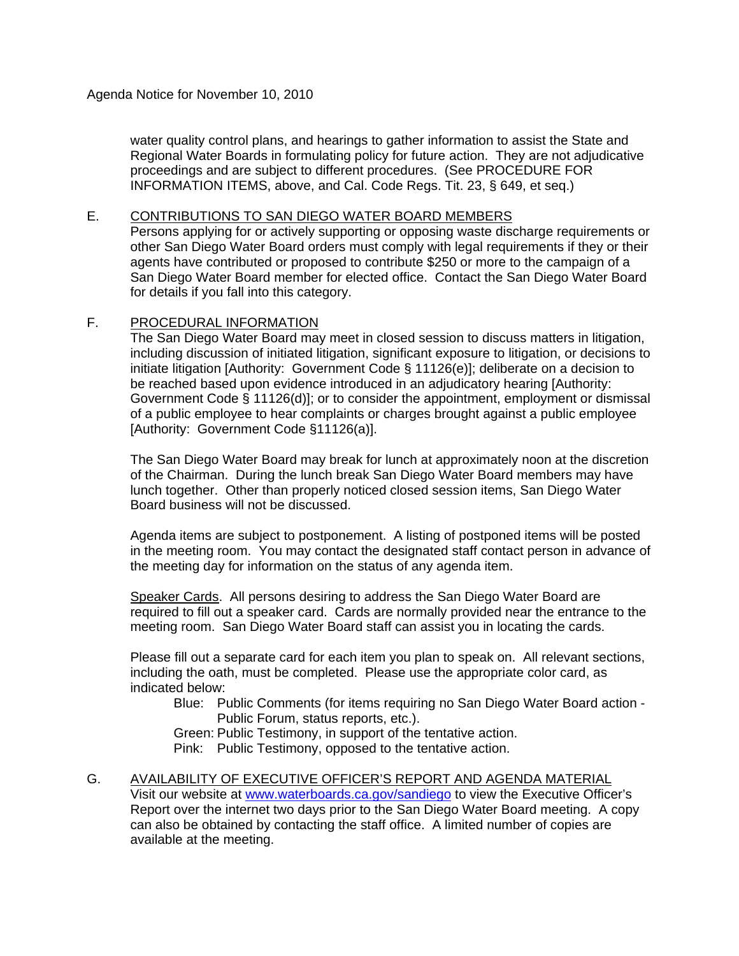water quality control plans, and hearings to gather information to assist the State and Regional Water Boards in formulating policy for future action. They are not adjudicative proceedings and are subject to different procedures. (See PROCEDURE FOR INFORMATION ITEMS, above, and Cal. Code Regs. Tit. 23, § 649, et seq.)

#### E. CONTRIBUTIONS TO SAN DIEGO WATER BOARD MEMBERS

Persons applying for or actively supporting or opposing waste discharge requirements or other San Diego Water Board orders must comply with legal requirements if they or their agents have contributed or proposed to contribute \$250 or more to the campaign of a San Diego Water Board member for elected office. Contact the San Diego Water Board for details if you fall into this category.

## F. PROCEDURAL INFORMATION

The San Diego Water Board may meet in closed session to discuss matters in litigation, including discussion of initiated litigation, significant exposure to litigation, or decisions to initiate litigation [Authority: Government Code § 11126(e)]; deliberate on a decision to be reached based upon evidence introduced in an adjudicatory hearing [Authority: Government Code § 11126(d)]; or to consider the appointment, employment or dismissal of a public employee to hear complaints or charges brought against a public employee [Authority: Government Code §11126(a)].

The San Diego Water Board may break for lunch at approximately noon at the discretion of the Chairman. During the lunch break San Diego Water Board members may have lunch together. Other than properly noticed closed session items, San Diego Water Board business will not be discussed.

Agenda items are subject to postponement. A listing of postponed items will be posted in the meeting room. You may contact the designated staff contact person in advance of the meeting day for information on the status of any agenda item.

Speaker Cards. All persons desiring to address the San Diego Water Board are required to fill out a speaker card. Cards are normally provided near the entrance to the meeting room. San Diego Water Board staff can assist you in locating the cards.

Please fill out a separate card for each item you plan to speak on. All relevant sections, including the oath, must be completed. Please use the appropriate color card, as indicated below:

 Blue: Public Comments (for items requiring no San Diego Water Board action - Public Forum, status reports, etc.).

Green: Public Testimony, in support of the tentative action.

Pink: Public Testimony, opposed to the tentative action.

G. AVAILABILITY OF EXECUTIVE OFFICER'S REPORT AND AGENDA MATERIAL Visit our website at [www.waterboards.ca.gov/sandiego](http://www.waterboards.ca.gov/sandiego) to view the Executive Officer's Report over the internet two days prior to the San Diego Water Board meeting. A copy can also be obtained by contacting the staff office. A limited number of copies are available at the meeting.